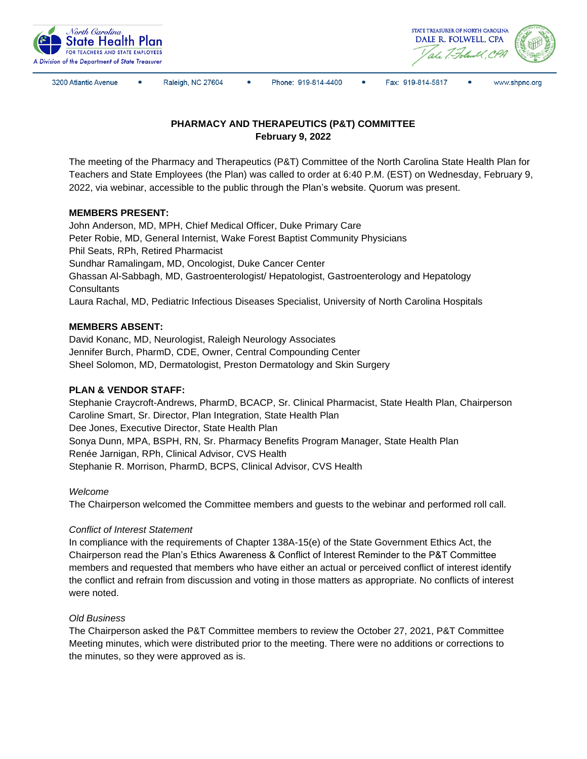



3200 Atlantic Avenue

Raleigh, NC 27604

Phone: 919-814-4400

 $\bullet$ Fax: 919-814-5817 www.shpnc.org

# **PHARMACY AND THERAPEUTICS (P&T) COMMITTEE February 9, 2022**

The meeting of the Pharmacy and Therapeutics (P&T) Committee of the North Carolina State Health Plan for Teachers and State Employees (the Plan) was called to order at 6:40 P.M. (EST) on Wednesday, February 9, 2022, via webinar, accessible to the public through the Plan's website. Quorum was present.

# **MEMBERS PRESENT:**

John Anderson, MD, MPH, Chief Medical Officer, Duke Primary Care Peter Robie, MD, General Internist, Wake Forest Baptist Community Physicians Phil Seats, RPh, Retired Pharmacist Sundhar Ramalingam, MD, Oncologist, Duke Cancer Center Ghassan Al-Sabbagh, MD, Gastroenterologist/ Hepatologist, Gastroenterology and Hepatology **Consultants** Laura Rachal, MD, Pediatric Infectious Diseases Specialist, University of North Carolina Hospitals

# **MEMBERS ABSENT:**

David Konanc, MD, Neurologist, Raleigh Neurology Associates Jennifer Burch, PharmD, CDE, Owner, Central Compounding Center Sheel Solomon, MD, Dermatologist, Preston Dermatology and Skin Surgery

# **PLAN & VENDOR STAFF:**

Stephanie Craycroft-Andrews, PharmD, BCACP, Sr. Clinical Pharmacist, State Health Plan, Chairperson Caroline Smart, Sr. Director, Plan Integration, State Health Plan Dee Jones, Executive Director, State Health Plan Sonya Dunn, MPA, BSPH, RN, Sr. Pharmacy Benefits Program Manager, State Health Plan Renée Jarnigan, RPh, Clinical Advisor, CVS Health Stephanie R. Morrison, PharmD, BCPS, Clinical Advisor, CVS Health

#### *Welcome*

The Chairperson welcomed the Committee members and guests to the webinar and performed roll call.

#### *Conflict of Interest Statement*

In compliance with the requirements of Chapter 138A-15(e) of the State Government Ethics Act, the Chairperson read the Plan's Ethics Awareness & Conflict of Interest Reminder to the P&T Committee members and requested that members who have either an actual or perceived conflict of interest identify the conflict and refrain from discussion and voting in those matters as appropriate. No conflicts of interest were noted.

#### *Old Business*

The Chairperson asked the P&T Committee members to review the October 27, 2021, P&T Committee Meeting minutes, which were distributed prior to the meeting. There were no additions or corrections to the minutes, so they were approved as is.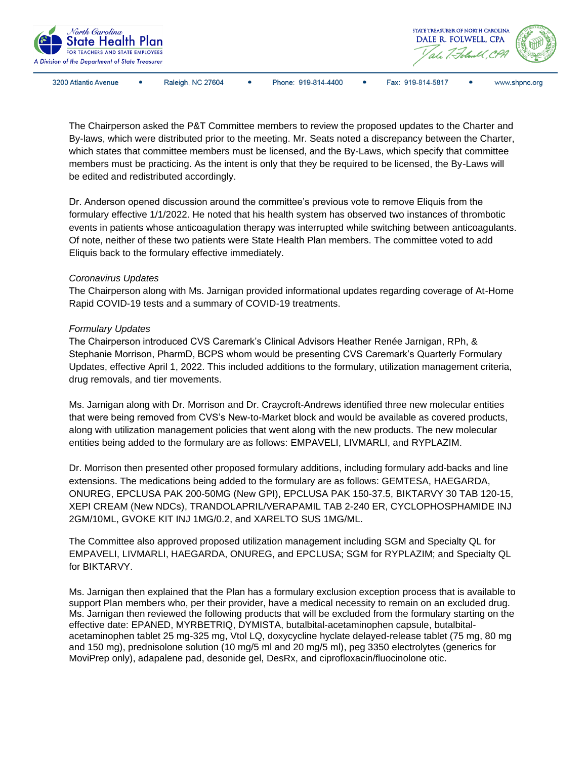

3200 Atlantic Avenue

Raleigh, NC 27604

Phone: 919-814-4400 Fax: 919-814-5817

www.shpnc.org

The Chairperson asked the P&T Committee members to review the proposed updates to the Charter and By-laws, which were distributed prior to the meeting. Mr. Seats noted a discrepancy between the Charter, which states that committee members must be licensed, and the By-Laws, which specify that committee members must be practicing. As the intent is only that they be required to be licensed, the By-Laws will be edited and redistributed accordingly.

Dr. Anderson opened discussion around the committee's previous vote to remove Eliquis from the formulary effective 1/1/2022. He noted that his health system has observed two instances of thrombotic events in patients whose anticoagulation therapy was interrupted while switching between anticoagulants. Of note, neither of these two patients were State Health Plan members. The committee voted to add Eliquis back to the formulary effective immediately.

#### *Coronavirus Updates*

The Chairperson along with Ms. Jarnigan provided informational updates regarding coverage of At-Home Rapid COVID-19 tests and a summary of COVID-19 treatments.

# *Formulary Updates*

The Chairperson introduced CVS Caremark's Clinical Advisors Heather Renée Jarnigan, RPh, & Stephanie Morrison, PharmD, BCPS whom would be presenting CVS Caremark's Quarterly Formulary Updates, effective April 1, 2022. This included additions to the formulary, utilization management criteria, drug removals, and tier movements.

Ms. Jarnigan along with Dr. Morrison and Dr. Craycroft-Andrews identified three new molecular entities that were being removed from CVS's New-to-Market block and would be available as covered products, along with utilization management policies that went along with the new products. The new molecular entities being added to the formulary are as follows: EMPAVELI, LIVMARLI, and RYPLAZIM.

Dr. Morrison then presented other proposed formulary additions, including formulary add-backs and line extensions. The medications being added to the formulary are as follows: GEMTESA, HAEGARDA, ONUREG, EPCLUSA PAK 200-50MG (New GPI), EPCLUSA PAK 150-37.5, BIKTARVY 30 TAB 120-15, XEPI CREAM (New NDCs), TRANDOLAPRIL/VERAPAMIL TAB 2-240 ER, CYCLOPHOSPHAMIDE INJ 2GM/10ML, GVOKE KIT INJ 1MG/0.2, and XARELTO SUS 1MG/ML.

The Committee also approved proposed utilization management including SGM and Specialty QL for EMPAVELI, LIVMARLI, HAEGARDA, ONUREG, and EPCLUSA; SGM for RYPLAZIM; and Specialty QL for BIKTARVY.

Ms. Jarnigan then explained that the Plan has a formulary exclusion exception process that is available to support Plan members who, per their provider, have a medical necessity to remain on an excluded drug. Ms. Jarnigan then reviewed the following products that will be excluded from the formulary starting on the effective date: EPANED, MYRBETRIQ, DYMISTA, butalbital-acetaminophen capsule, butalbitalacetaminophen tablet 25 mg-325 mg, Vtol LQ, doxycycline hyclate delayed-release tablet (75 mg, 80 mg and 150 mg), prednisolone solution (10 mg/5 ml and 20 mg/5 ml), peg 3350 electrolytes (generics for MoviPrep only), adapalene pad, desonide gel, DesRx, and ciprofloxacin/fluocinolone otic.